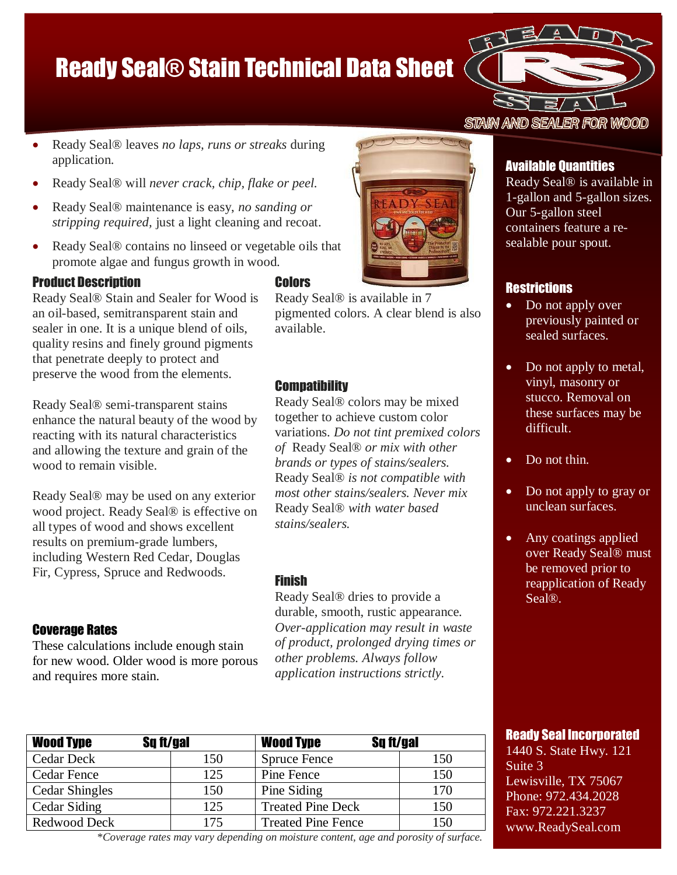# Ready Seal® Stain Technical Data Sheet



- Ready Seal® leaves *no laps, runs or streaks* during application.
- Ready Seal® will *never crack, chip, flake or peel.*
- Ready Seal® maintenance is easy, *no sanding or stripping required,* just a light cleaning and recoat.
- Ready Seal® contains no linseed or vegetable oils that promote algae and fungus growth in wood.

## Product Description

Ready Seal® Stain and Sealer for Wood is an oil-based, semitransparent stain and sealer in one. It is a unique blend of oils, quality resins and finely ground pigments that penetrate deeply to protect and preserve the wood from the elements.

Ready Seal® semi-transparent stains enhance the natural beauty of the wood by reacting with its natural characteristics and allowing the texture and grain of the wood to remain visible.

Ready Seal® may be used on any exterior wood project. Ready Seal® is effective on all types of wood and shows excellent results on premium-grade lumbers, including Western Red Cedar, Douglas Fir, Cypress, Spruce and Redwoods.

# Coverage Rates

These calculations include enough stain for new wood. Older wood is more porous and requires more stain.

# **Colors**

Ready Seal® is available in 7 pigmented colors. A clear blend is also available.

# **Compatibility**

Ready Seal® colors may be mixed together to achieve custom color variations. *Do not tint premixed colors of* Ready Seal® *or mix with other brands or types of stains/sealers.* Ready Seal® *is not compatible with most other stains/sealers. Never mix*  Ready Seal® *with water based stains/sealers.*

# Finish

Ready Seal® dries to provide a durable, smooth, rustic appearance*. Over-application may result in waste of product, prolonged drying times or other problems. Always follow application instructions strictly.*

# Available Quantities

Available Quantities Ready Seal® is available in 1-gallon and 5-gallon sizes. Our 5-gallon steel containers feature a resealable pour spout.

Ready Seal® is available in

# **Restrictions**

- Do not apply over previously painted or density polyethylenes. construction and a reseal-
- Do not apply to metal, stucco. Removal on these surfaces may be previously painted or vinyl, masonry or difficult.
- $\bullet$  Do not thin.
- vinyl, masonry or • Do not apply to gray or unclean surfaces.
- over Ready Seal® must be removed prior to reapplication of Ready Do not thin. • Any coatings applied Seal®.

 Do not apply to gray or unclean surfaces.

porosity, texture and

 Do not apply other coatings over Ready

### Any coatings applied Ready Seal Incorporated

1440 S. State Hwy. 121 reapplication of Ready Lewisville, TX 75067 1 none: *512*.454.2026<br>Fax: 972.221.3237 rax. 272.221.3237<br>www.ReadySeal.com  $\alpha$  due to surface the surface to surface the surface  $\alpha$ Suite 3 Phone: 972.434.2028

| <b>Wood Type</b>                                                                        | Sq ft/gal | <b>Wood Type</b>          | Sq ft/gal |
|-----------------------------------------------------------------------------------------|-----------|---------------------------|-----------|
| <b>Cedar Deck</b>                                                                       | 150       | <b>Spruce Fence</b>       | 150       |
| <b>Cedar Fence</b>                                                                      | 125       | Pine Fence                | 150       |
| <b>Cedar Shingles</b>                                                                   | 150       | Pine Siding               | 170       |
| Cedar Siding                                                                            | 125       | <b>Treated Pine Deck</b>  | 150       |
| Redwood Deck                                                                            | 175       | <b>Treated Pine Fence</b> | 150       |
| $*_{Coulura}$ rates may your depending on moisture soutent, ago and poposity of surface |           |                           |           |

\**Coverage rates may vary depending on moisture content, age and porosity of surface.*